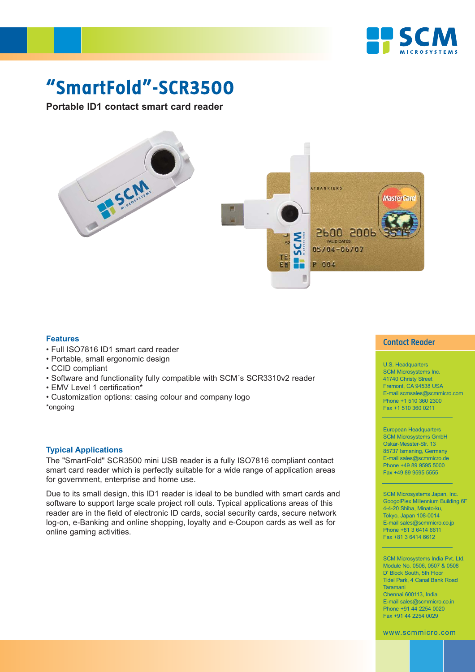

## **"SmartFold"-SCR3500**

**Portable ID1 contact smart card reader** 



## **Features**

- Full ISO7816 ID1 smart card reader
- Portable, small ergonomic design
- CCID compliant
- Software and functionality fully compatible with SCM´s SCR3310v2 reader
- EMV Level 1 certification\*
- Customization options: casing colour and company logo

\*ongoing

## **Typical Applications**

The "SmartFold" SCR3500 mini USB reader is a fully ISO7816 compliant contact smart card reader which is perfectly suitable for a wide range of application areas for government, enterprise and home use.

Due to its small design, this ID1 reader is ideal to be bundled with smart cards and software to support large scale project roll outs. Typical applications areas of this reader are in the field of electronic ID cards, social security cards, secure network log-on, e-Banking and online shopping, loyalty and e-Coupon cards as well as for online gaming activities.

#### **Contact Reader**

U.S. Headquarters SCM Microsystems Inc. 41740 Christy Street Fremont, CA 94538 USA E-mail scmsales@scmmicro.com Phone +1 510 360 2300 Fax +1 510 360 0211

European Headquarters SCM Microsystems GmbH Oskar-Messter-Str. 13 85737 Ismaning, Germany E-mail sales@scmmicro.de Phone +49 89 9595 5000 Fax +49 89 9595 5555

SCM Microsystems Japan, Inc. GoogolPlex Millennium Building 6F 4-4-20 Shiba, Minato-ku, Tokyo, Japan 108-0014 E-mail sales@scmmicro.co.jp Phone +81 3 6414 6611 Fax +81 3 6414 6612

SCM Microsystems India Pvt. Ltd. Module No. 0506, 0507 & 0508 D' Block South, 5th Floor Tidel Park, 4 Canal Bank Road Taramani Chennai 600113, India E-mail sales@scmmicro.co.in Phone +91 44 2254 0020 Fax +91 44 2254 0029

www.scmmicro.com